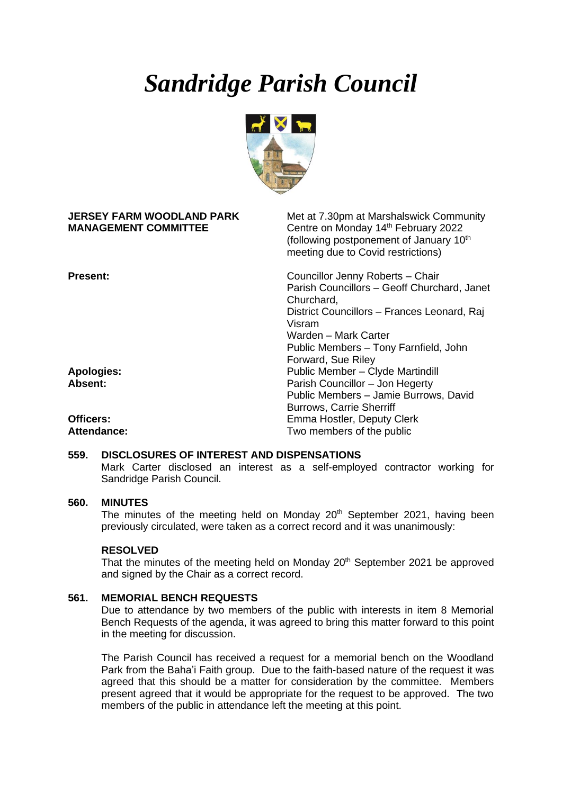# *Sandridge Parish Council*



| <b>JERSEY FARM WOODLAND PARK</b><br><b>MANAGEMENT COMMITTEE</b> | Met at 7.30pm at Marshalswick Community<br>Centre on Monday 14th February 2022<br>(following postponement of January 10 <sup>th</sup><br>meeting due to Covid restrictions)                                             |
|-----------------------------------------------------------------|-------------------------------------------------------------------------------------------------------------------------------------------------------------------------------------------------------------------------|
| <b>Present:</b>                                                 | Councillor Jenny Roberts - Chair<br>Parish Councillors - Geoff Churchard, Janet<br>Churchard,<br>District Councillors - Frances Leonard, Raj<br>Visram<br>Warden – Mark Carter<br>Public Members - Tony Farnfield, John |
|                                                                 | Forward, Sue Riley                                                                                                                                                                                                      |
| <b>Apologies:</b>                                               | Public Member - Clyde Martindill                                                                                                                                                                                        |
| Absent:                                                         | Parish Councillor - Jon Hegerty                                                                                                                                                                                         |
|                                                                 | Public Members - Jamie Burrows, David                                                                                                                                                                                   |
|                                                                 | <b>Burrows, Carrie Sherriff</b>                                                                                                                                                                                         |
| Officers:                                                       | Emma Hostler, Deputy Clerk                                                                                                                                                                                              |
| <b>Attendance:</b>                                              | Two members of the public                                                                                                                                                                                               |

#### **559. DISCLOSURES OF INTEREST AND DISPENSATIONS**

Mark Carter disclosed an interest as a self-employed contractor working for Sandridge Parish Council.

## **560. MINUTES**

The minutes of the meeting held on Monday 20<sup>th</sup> September 2021, having been previously circulated, were taken as a correct record and it was unanimously:

## **RESOLVED**

That the minutes of the meeting held on Monday 20<sup>th</sup> September 2021 be approved and signed by the Chair as a correct record.

## **561. MEMORIAL BENCH REQUESTS**

Due to attendance by two members of the public with interests in item 8 Memorial Bench Requests of the agenda, it was agreed to bring this matter forward to this point in the meeting for discussion.

The Parish Council has received a request for a memorial bench on the Woodland Park from the Baha'i Faith group. Due to the faith-based nature of the request it was agreed that this should be a matter for consideration by the committee. Members present agreed that it would be appropriate for the request to be approved. The two members of the public in attendance left the meeting at this point.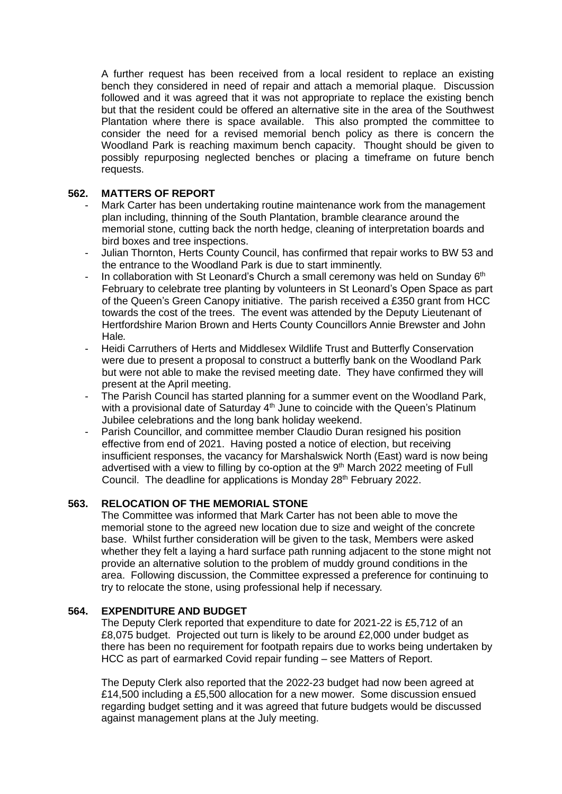A further request has been received from a local resident to replace an existing bench they considered in need of repair and attach a memorial plaque. Discussion followed and it was agreed that it was not appropriate to replace the existing bench but that the resident could be offered an alternative site in the area of the Southwest Plantation where there is space available. This also prompted the committee to consider the need for a revised memorial bench policy as there is concern the Woodland Park is reaching maximum bench capacity. Thought should be given to possibly repurposing neglected benches or placing a timeframe on future bench requests.

## **562. MATTERS OF REPORT**

- Mark Carter has been undertaking routine maintenance work from the management plan including, thinning of the South Plantation, bramble clearance around the memorial stone, cutting back the north hedge, cleaning of interpretation boards and bird boxes and tree inspections.
- Julian Thornton, Herts County Council, has confirmed that repair works to BW 53 and the entrance to the Woodland Park is due to start imminently.
- In collaboration with St Leonard's Church a small ceremony was held on Sunday  $6<sup>th</sup>$ February to celebrate tree planting by volunteers in St Leonard's Open Space as part of the Queen's Green Canopy initiative. The parish received a £350 grant from HCC towards the cost of the trees. The event was attended by the Deputy Lieutenant of Hertfordshire Marion Brown and Herts County Councillors Annie Brewster and John Hale*.*
- Heidi Carruthers of Herts and Middlesex Wildlife Trust and Butterfly Conservation were due to present a proposal to construct a butterfly bank on the Woodland Park but were not able to make the revised meeting date. They have confirmed they will present at the April meeting.
- The Parish Council has started planning for a summer event on the Woodland Park, with a provisional date of Saturday  $4<sup>th</sup>$  June to coincide with the Queen's Platinum Jubilee celebrations and the long bank holiday weekend.
- Parish Councillor, and committee member Claudio Duran resigned his position effective from end of 2021. Having posted a notice of election, but receiving insufficient responses, the vacancy for Marshalswick North (East) ward is now being advertised with a view to filling by co-option at the  $9<sup>th</sup>$  March 2022 meeting of Full Council. The deadline for applications is Monday 28<sup>th</sup> February 2022.

## **563. RELOCATION OF THE MEMORIAL STONE**

The Committee was informed that Mark Carter has not been able to move the memorial stone to the agreed new location due to size and weight of the concrete base. Whilst further consideration will be given to the task, Members were asked whether they felt a laying a hard surface path running adjacent to the stone might not provide an alternative solution to the problem of muddy ground conditions in the area. Following discussion, the Committee expressed a preference for continuing to try to relocate the stone, using professional help if necessary.

## **564. EXPENDITURE AND BUDGET**

The Deputy Clerk reported that expenditure to date for 2021-22 is £5,712 of an £8,075 budget. Projected out turn is likely to be around £2,000 under budget as there has been no requirement for footpath repairs due to works being undertaken by HCC as part of earmarked Covid repair funding – see Matters of Report.

The Deputy Clerk also reported that the 2022-23 budget had now been agreed at £14,500 including a £5,500 allocation for a new mower. Some discussion ensued regarding budget setting and it was agreed that future budgets would be discussed against management plans at the July meeting.